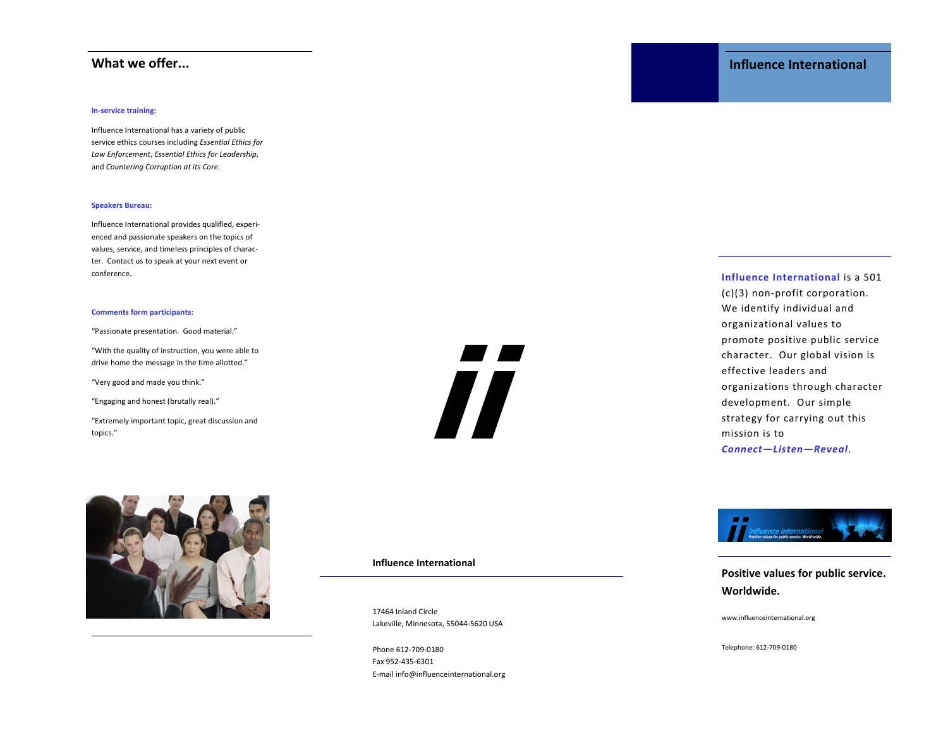### In-service training:

Influence International has a variety of public service ethics courses including Essential Ethics for Law Enforcement, Essential Ethics for Leadership, and Countering Corruption at its Core.

### Speakers Bureau:

Influence International provides qualified, experienced and passionate speakers on the topics of values, service, and timeless principles of character. Contact us to speak at your next event or conference.

### Comments form participants:

"Passionate presentation. Good material."

"With the quality of instruction, you were able to drive home the message in the time allotted."

"Very good and made you think."

"Engaging and honest (brutally real)."

"Extremely important topic, great discussion and topics."



Influence International

17464 Inland Circle Lakeville, Minnesota, 55044-5620 USA www.influenceinternational.org

ii

Phone 612-709-0180 Fax 952-435-6301 E-mail info@influenceinternational.org

# What we offer... **Influence International**

## Influence International is a 501

(c)(3) non-profit corporation. We identify individual and organizational values to promote positive public service character. Our global vision is effective leaders and organizations through character development. Our simple strategy for carrying out this mission is to Connect—Listen—Reveal.



Positive values for public service. Worldwide.

Telephone: 612-709-0180